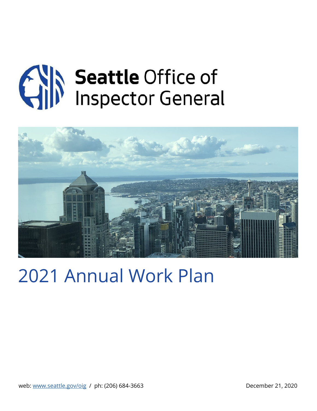



# 2021 Annual Work Plan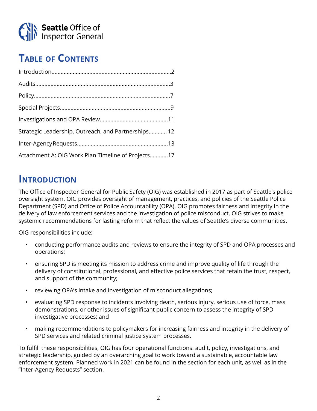

# **Table of Contents**

| Strategic Leadership, Outreach, and Partnerships 12 |
|-----------------------------------------------------|
|                                                     |
| Attachment A: OIG Work Plan Timeline of Projects17  |

# **INTRODUCTION**

The Office of Inspector General for Public Safety (OIG) was established in 2017 as part of Seattle's police oversight system. OIG provides oversight of management, practices, and policies of the Seattle Police Department (SPD) and Office of Police Accountability (OPA). OIG promotes fairness and integrity in the delivery of law enforcement services and the investigation of police misconduct. OIG strives to make systemic recommendations for lasting reform that reflect the values of Seattle's diverse communities.

OIG responsibilities include:

- conducting performance audits and reviews to ensure the integrity of SPD and OPA processes and operations;
- ensuring SPD is meeting its mission to address crime and improve quality of life through the delivery of constitutional, professional, and effective police services that retain the trust, respect, and support of the community;
- reviewing OPA's intake and investigation of misconduct allegations;
- evaluating SPD response to incidents involving death, serious injury, serious use of force, mass demonstrations, or other issues of significant public concern to assess the integrity of SPD investigative processes; and
- making recommendations to policymakers for increasing fairness and integrity in the delivery of SPD services and related criminal justice system processes.

To fulfill these responsibilities, OIG has four operational functions: audit, policy, investigations, and strategic leadership, guided by an overarching goal to work toward a sustainable, accountable law enforcement system. Planned work in 2021 can be found in the section for each unit, as well as in the "Inter-Agency Requests" section.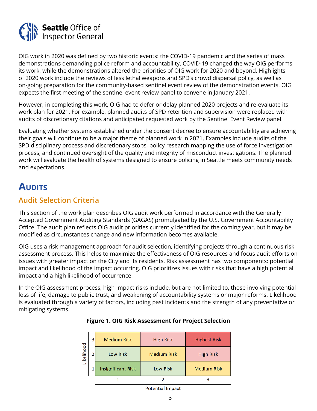<span id="page-2-0"></span>

OIG work in 2020 was defined by two historic events: the COVID-19 pandemic and the series of mass demonstrations demanding police reform and accountability. COVID-19 changed the way OIG performs its work, while the demonstrations altered the priorities of OIG work for 2020 and beyond. Highlights of 2020 work include the reviews of less lethal weapons and SPD's crowd dispersal policy, as well as on-going preparation for the community-based sentinel event review of the demonstration events. OIG expects the first meeting of the sentinel event review panel to convene in January 2021.

However, in completing this work, OIG had to defer or delay planned 2020 projects and re-evaluate its work plan for 2021. For example, planned audits of SPD retention and supervision were replaced with audits of discretionary citations and anticipated requested work by the Sentinel Event Review panel.

Evaluating whether systems established under the consent decree to ensure accountability are achieving their goals will continue to be a major theme of planned work in 2021. Examples include audits of the SPD disciplinary process and discretionary stops, policy research mapping the use of force investigation process, and continued oversight of the quality and integrity of misconduct investigations. The planned work will evaluate the health of systems designed to ensure policing in Seattle meets community needs and expectations.

# **AUDITS**

# **Audit Selection Criteria**

This section of the work plan describes OIG audit work performed in accordance with the Generally Accepted Government Auditing Standards (GAGAS) promulgated by the U.S. Government Accountability Office. The audit plan reflects OIG audit priorities currently identified for the coming year, but it may be modified as circumstances change and new information becomes available.

OIG uses a risk management approach for audit selection, identifying projects through a continuous risk assessment process. This helps to maximize the effectiveness of OIG resources and focus audit efforts on issues with greater impact on the City and its residents. Risk assessment has two components: potential impact and likelihood of the impact occurring. OIG prioritizes issues with risks that have a high potential impact and a high likelihood of occurrence.

In the OIG assessment process, high impact risks include, but are not limited to, those involving potential loss of life, damage to public trust, and weakening of accountability systems or major reforms. Likelihood is evaluated through a variety of factors, including past incidents and the strength of any preventative or mitigating systems.

| ikelihood | <b>Medium Risk</b>        | <b>High Risk</b>   | <b>Highest Risk</b> |
|-----------|---------------------------|--------------------|---------------------|
|           | <b>Low Risk</b>           | <b>Medium Risk</b> | <b>High Risk</b>    |
|           | <b>Insignificant Risk</b> | <b>Low Risk</b>    | <b>Medium Risk</b>  |
|           |                           |                    |                     |
|           |                           | - - -              |                     |

# **Figure 1. OIG Risk Assessment for Project Selection**

**Potential Impact**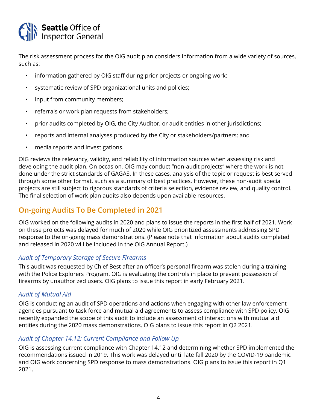

The risk assessment process for the OIG audit plan considers information from a wide variety of sources, such as:

- information gathered by OIG staff during prior projects or ongoing work;
- systematic review of SPD organizational units and policies;
- input from community members;
- referrals or work plan requests from stakeholders;
- prior audits completed by OIG, the City Auditor, or audit entities in other jurisdictions;
- reports and internal analyses produced by the City or stakeholders/partners; and
- media reports and investigations.

OIG reviews the relevancy, validity, and reliability of information sources when assessing risk and developing the audit plan. On occasion, OIG may conduct "non-audit projects" where the work is not done under the strict standards of GAGAS. In these cases, analysis of the topic or request is best served through some other format, such as a summary of best practices. However, these non-audit special projects are still subject to rigorous standards of criteria selection, evidence review, and quality control. The final selection of work plan audits also depends upon available resources.

# **On-going Audits To Be Completed in 2021**

OIG worked on the following audits in 2020 and plans to issue the reports in the first half of 2021. Work on these projects was delayed for much of 2020 while OIG prioritized assessments addressing SPD response to the on-going mass demonstrations. (Please note that information about audits completed and released in 2020 will be included in the OIG Annual Report.)

# *Audit of Temporary Storage of Secure Firearms*

This audit was requested by Chief Best after an officer's personal firearm was stolen during a training with the Police Explorers Program. OIG is evaluating the controls in place to prevent possession of firearms by unauthorized users. OIG plans to issue this report in early February 2021.

# *Audit of Mutual Aid*

OIG is conducting an audit of SPD operations and actions when engaging with other law enforcement agencies pursuant to task force and mutual aid agreements to assess compliance with SPD policy. OIG recently expanded the scope of this audit to include an assessment of interactions with mutual aid entities during the 2020 mass demonstrations. OIG plans to issue this report in Q2 2021.

# *Audit of Chapter 14.12: Current Compliance and Follow Up*

OIG is assessing current compliance with Chapter 14.12 and determining whether SPD implemented the recommendations issued in 2019. This work was delayed until late fall 2020 by the COVID-19 pandemic and OIG work concerning SPD response to mass demonstrations. OIG plans to issue this report in Q1 2021.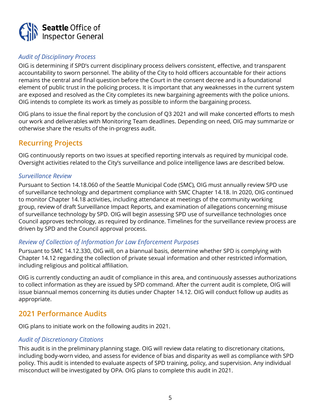

# *Audit of Disciplinary Process*

OIG is determining if SPD's current disciplinary process delivers consistent, effective, and transparent accountability to sworn personnel. The ability of the City to hold officers accountable for their actions remains the central and final question before the Court in the consent decree and is a foundational element of public trust in the policing process. It is important that any weaknesses in the current system are exposed and resolved as the City completes its new bargaining agreements with the police unions. OIG intends to complete its work as timely as possible to inform the bargaining process.

OIG plans to issue the final report by the conclusion of Q3 2021 and will make concerted efforts to mesh our work and deliverables with Monitoring Team deadlines. Depending on need, OIG may summarize or otherwise share the results of the in-progress audit.

# **Recurring Projects**

OIG continuously reports on two issues at specified reporting intervals as required by municipal code. Oversight activities related to the City's surveillance and police intelligence laws are described below.

#### *Surveillance Review*

Pursuant to Section 14.18.060 of the Seattle Municipal Code (SMC), OIG must annually review SPD use of surveillance technology and department compliance with SMC Chapter 14.18. In 2020, OIG continued to monitor Chapter 14.18 activities, including attendance at meetings of the community working group, review of draft Surveillance Impact Reports, and examination of allegations concerning misuse of surveillance technology by SPD. OIG will begin assessing SPD use of surveillance technologies once Council approves technology, as required by ordinance. Timelines for the surveillance review process are driven by SPD and the Council approval process.

# *Review of Collection of Information for Law Enforcement Purposes*

Pursuant to SMC 14.12.330, OIG will, on a biannual basis, determine whether SPD is complying with Chapter 14.12 regarding the collection of private sexual information and other restricted information, including religious and political affiliation.

OIG is currently conducting an audit of compliance in this area, and continuously assesses authorizations to collect information as they are issued by SPD command. After the current audit is complete, OIG will issue biannual memos concerning its duties under Chapter 14.12. OIG will conduct follow up audits as appropriate.

# **2021 Performance Audits**

OIG plans to initiate work on the following audits in 2021.

# *Audit of Discretionary Citations*

This audit is in the preliminary planning stage. OIG will review data relating to discretionary citations, including body-worn video, and assess for evidence of bias and disparity as well as compliance with SPD policy. This audit is intended to evaluate aspects of SPD training, policy, and supervision. Any individual misconduct will be investigated by OPA. OIG plans to complete this audit in 2021.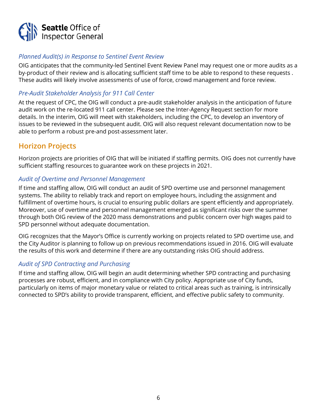

# *Planned Audit(s) in Response to Sentinel Event Review*

OIG anticipates that the community-led Sentinel Event Review Panel may request one or more audits as a by-product of their review and is allocating sufficient staff time to be able to respond to these requests . These audits will likely involve assessments of use of force, crowd management and force review.

# *Pre-Audit Stakeholder Analysis for 911 Call Center*

At the request of CPC, the OIG will conduct a pre-audit stakeholder analysis in the anticipation of future audit work on the re-located 911 call center. Please see the Inter-Agency Request section for more details. In the interim, OIG will meet with stakeholders, including the CPC, to develop an inventory of issues to be reviewed in the subsequent audit. OIG will also request relevant documentation now to be able to perform a robust pre-and post-assessment later.

# **Horizon Projects**

Horizon projects are priorities of OIG that will be initiated if staffing permits. OIG does not currently have sufficient staffing resources to guarantee work on these projects in 2021.

# *Audit of Overtime and Personnel Management*

If time and staffing allow, OIG will conduct an audit of SPD overtime use and personnel management systems. The ability to reliably track and report on employee hours, including the assignment and fulfillment of overtime hours, is crucial to ensuring public dollars are spent efficiently and appropriately. Moreover, use of overtime and personnel management emerged as significant risks over the summer through both OIG review of the 2020 mass demonstrations and public concern over high wages paid to SPD personnel without adequate documentation.

OIG recognizes that the Mayor's Office is currently working on projects related to SPD overtime use, and the City Auditor is planning to follow up on previous recommendations issued in 2016. OIG will evaluate the results of this work and determine if there are any outstanding risks OIG should address.

# *Audit of SPD Contracting and Purchasing*

If time and staffing allow, OIG will begin an audit determining whether SPD contracting and purchasing processes are robust, efficient, and in compliance with City policy. Appropriate use of City funds, particularly on items of major monetary value or related to critical areas such as training, is intrinsically connected to SPD's ability to provide transparent, efficient, and effective public safety to community.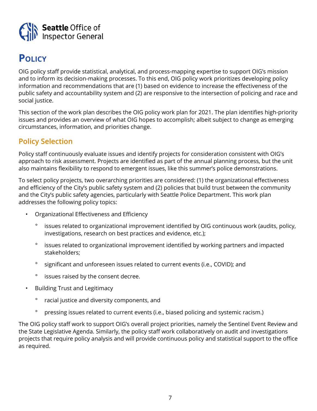<span id="page-6-0"></span>

# **Policy**

OIG policy staff provide statistical, analytical, and process-mapping expertise to support OIG's mission and to inform its decision-making processes. To this end, OIG policy work prioritizes developing policy information and recommendations that are (1) based on evidence to increase the effectiveness of the public safety and accountability system and (2) are responsive to the intersection of policing and race and social justice.

This section of the work plan describes the OIG policy work plan for 2021. The plan identifies high-priority issues and provides an overview of what OIG hopes to accomplish; albeit subject to change as emerging circumstances, information, and priorities change.

# **Policy Selection**

Policy staff continuously evaluate issues and identify projects for consideration consistent with OIG's approach to risk assessment. Projects are identified as part of the annual planning process, but the unit also maintains flexibility to respond to emergent issues, like this summer's police demonstrations.

To select policy projects, two overarching priorities are considered: (1) the organizational effectiveness and efficiency of the City's public safety system and (2) policies that build trust between the community and the City's public safety agencies, particularly with Seattle Police Department. This work plan addresses the following policy topics:

- Organizational Effectiveness and Efficiency
	- ° issues related to organizational improvement identified by OIG continuous work (audits, policy, investigations, research on best practices and evidence, etc.);
	- ° issues related to organizational improvement identified by working partners and impacted stakeholders;
	- ° significant and unforeseen issues related to current events (i.e., COVID); and
	- ° issues raised by the consent decree.
- Building Trust and Legitimacy
	- ° racial justice and diversity components, and
	- ° pressing issues related to current events (i.e., biased policing and systemic racism.)

The OIG policy staff work to support OIG's overall project priorities, namely the Sentinel Event Review and the State Legislative Agenda. Similarly, the policy staff work collaboratively on audit and investigations projects that require policy analysis and will provide continuous policy and statistical support to the office as required.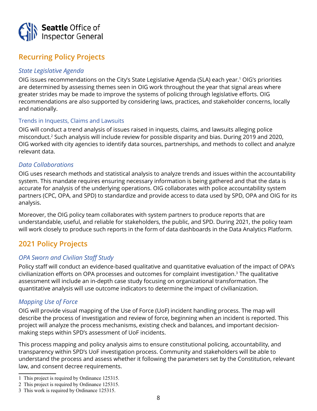

# **Recurring Policy Projects**

# *State Legislative Agenda*

OIG issues recommendations on the City's State Legislative Agenda (SLA) each year.<sup>1</sup> OIG's priorities are determined by assessing themes seen in OIG work throughout the year that signal areas where greater strides may be made to improve the systems of policing through legislative efforts. OIG recommendations are also supported by considering laws, practices, and stakeholder concerns, locally and nationally.

#### Trends in Inquests, Claims and Lawsuits

OIG will conduct a trend analysis of issues raised in inquests, claims, and lawsuits alleging police misconduct.2 Such analysis will include review for possible disparity and bias. During 2019 and 2020, OIG worked with city agencies to identify data sources, partnerships, and methods to collect and analyze relevant data.

#### *Data Collaborations*

OIG uses research methods and statistical analysis to analyze trends and issues within the accountability system. This mandate requires ensuring necessary information is being gathered and that the data is accurate for analysis of the underlying operations. OIG collaborates with police accountability system partners (CPC, OPA, and SPD) to standardize and provide access to data used by SPD, OPA and OIG for its analysis.

Moreover, the OIG policy team collaborates with system partners to produce reports that are understandable, useful, and reliable for stakeholders, the public, and SPD. During 2021, the policy team will work closely to produce such reports in the form of data dashboards in the Data Analytics Platform.

# **2021 Policy Projects**

# *OPA Sworn and Civilian Staff Study*

Policy staff will conduct an evidence-based qualitative and quantitative evaluation of the impact of OPA's civilianization efforts on OPA processes and outcomes for complaint investigation.<sup>3</sup> The qualitative assessment will include an in-depth case study focusing on organizational transformation. The quantitative analysis will use outcome indicators to determine the impact of civilianization.

# *Mapping Use of Force*

OIG will provide visual mapping of the Use of Force (UoF) incident handling process. The map will describe the process of investigation and review of force, beginning when an incident is reported. This project will analyze the process mechanisms, existing check and balances, and important decisionmaking steps within SPD's assessment of UoF incidents.

This process mapping and policy analysis aims to ensure constitutional policing, accountability, and transparency within SPD's UoF investigation process. Community and stakeholders will be able to understand the process and assess whether it following the parameters set by the Constitution, relevant law, and consent decree requirements.

<sup>1</sup> This project is required by Ordinance 125315.

<sup>2</sup> This project is required by Ordinance 125315.

<sup>3</sup> This work is required by Ordinance 125315.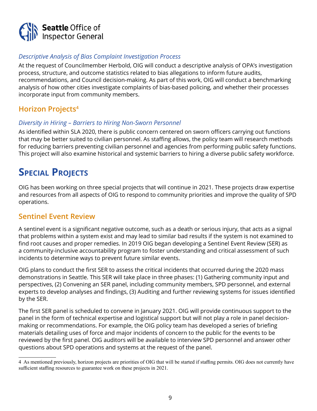<span id="page-8-0"></span>

# *Descriptive Analysis of Bias Complaint Investigation Process*

At the request of Councilmember Herbold, OIG will conduct a descriptive analysis of OPA's investigation process, structure, and outcome statistics related to bias allegations to inform future audits, recommendations, and Council decision-making. As part of this work, OIG will conduct a benchmarking analysis of how other cities investigate complaints of bias-based policing, and whether their processes incorporate input from community members.

# **Horizon Projects4**

# *Diversity in Hiring – Barriers to Hiring Non-Sworn Personnel*

As identified within SLA 2020, there is public concern centered on sworn officers carrying out functions that may be better suited to civilian personnel. As staffing allows, the policy team will research methods for reducing barriers preventing civilian personnel and agencies from performing public safety functions. This project will also examine historical and systemic barriers to hiring a diverse public safety workforce.

# **SPECIAL PROJECTS**

OIG has been working on three special projects that will continue in 2021. These projects draw expertise and resources from all aspects of OIG to respond to community priorities and improve the quality of SPD operations.

# **Sentinel Event Review**

A sentinel event is a significant negative outcome, such as a death or serious injury, that acts as a signal that problems within a system exist and may lead to similar bad results if the system is not examined to find root causes and proper remedies. In 2019 OIG began developing a Sentinel Event Review (SER) as a community-inclusive accountability program to foster understanding and critical assessment of such incidents to determine ways to prevent future similar events.

OIG plans to conduct the first SER to assess the critical incidents that occurred during the 2020 mass demonstrations in Seattle. This SER will take place in three phases: (1) Gathering community input and perspectives, (2) Convening an SER panel, including community members, SPD personnel, and external experts to develop analyses and findings, (3) Auditing and further reviewing systems for issues identified by the SER.

The first SER panel is scheduled to convene in January 2021. OIG will provide continuous support to the panel in the form of technical expertise and logistical support but will not play a role in panel decisionmaking or recommendations. For example, the OIG policy team has developed a series of briefing materials detailing uses of force and major incidents of concern to the public for the events to be reviewed by the first panel. OIG auditors will be available to interview SPD personnel and answer other questions about SPD operations and systems at the request of the panel.

<sup>4</sup> As mentioned previously, horizon projects are priorities of OIG that will be started if staffing permits. OIG does not currently have sufficient staffing resources to guarantee work on these projects in 2021.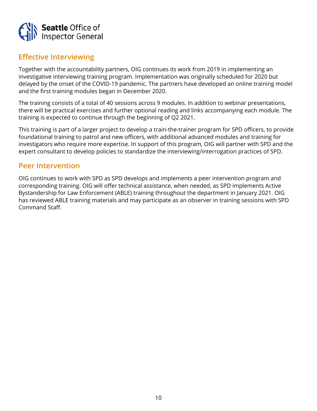

# **Effective Interviewing**

Together with the accountability partners, OIG continues its work from 2019 in implementing an investigative interviewing training program. Implementation was originally scheduled for 2020 but delayed by the onset of the COVID-19 pandemic. The partners have developed an online training model and the first training modules began in December 2020.

The training consists of a total of 40 sessions across 9 modules. In addition to webinar presentations, there will be practical exercises and further optional reading and links accompanying each module. The training is expected to continue through the beginning of Q2 2021.

This training is part of a larger project to develop a train-the-trainer program for SPD officers, to provide foundational training to patrol and new officers, with additional advanced modules and training for investigators who require more expertise. In support of this program, OIG will partner with SPD and the expert consultant to develop policies to standardize the interviewing/interrogation practices of SPD.

# **Peer Intervention**

OIG continues to work with SPD as SPD develops and implements a peer intervention program and corresponding training. OIG will offer technical assistance, when needed, as SPD implements Active Bystandership for Law Enforcement (ABLE) training throughout the department in January 2021. OIG has reviewed ABLE training materials and may participate as an observer in training sessions with SPD Command Staff.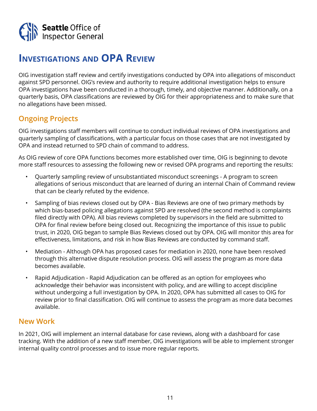<span id="page-10-0"></span>

# **Investigations and OPA Review**

OIG investigation staff review and certify investigations conducted by OPA into allegations of misconduct against SPD personnel. OIG's review and authority to require additional investigation helps to ensure OPA investigations have been conducted in a thorough, timely, and objective manner. Additionally, on a quarterly basis, OPA classifications are reviewed by OIG for their appropriateness and to make sure that no allegations have been missed.

# **Ongoing Projects**

OIG investigations staff members will continue to conduct individual reviews of OPA investigations and quarterly sampling of classifications, with a particular focus on those cases that are not investigated by OPA and instead returned to SPD chain of command to address.

As OIG review of core OPA functions becomes more established over time, OIG is beginning to devote more staff resources to assessing the following new or revised OPA programs and reporting the results:

- Quarterly sampling review of unsubstantiated misconduct screenings A program to screen allegations of serious misconduct that are learned of during an internal Chain of Command review that can be clearly refuted by the evidence.
- Sampling of bias reviews closed out by OPA Bias Reviews are one of two primary methods by which bias-based policing allegations against SPD are resolved (the second method is complaints filed directly with OPA). All bias reviews completed by supervisors in the field are submitted to OPA for final review before being closed out. Recognizing the importance of this issue to public trust, in 2020, OIG began to sample Bias Reviews closed out by OPA. OIG will monitor this area for effectiveness, limitations, and risk in how Bias Reviews are conducted by command staff.
- Mediation Although OPA has proposed cases for mediation in 2020, none have been resolved through this alternative dispute resolution process. OIG will assess the program as more data becomes available.
- Rapid Adjudication Rapid Adjudication can be offered as an option for employees who acknowledge their behavior was inconsistent with policy, and are willing to accept discipline without undergoing a full investigation by OPA. In 2020, OPA has submitted all cases to OIG for review prior to final classification. OIG will continue to assess the program as more data becomes available.

# **New Work**

In 2021, OIG will implement an internal database for case reviews, along with a dashboard for case tracking. With the addition of a new staff member, OIG investigations will be able to implement stronger internal quality control processes and to issue more regular reports.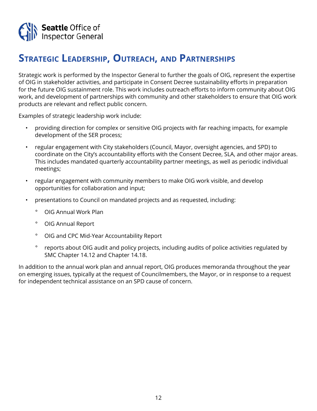<span id="page-11-0"></span>

# **Strategic Leadership, Outreach, and Partnerships**

Strategic work is performed by the Inspector General to further the goals of OIG, represent the expertise of OIG in stakeholder activities, and participate in Consent Decree sustainability efforts in preparation for the future OIG sustainment role. This work includes outreach efforts to inform community about OIG work, and development of partnerships with community and other stakeholders to ensure that OIG work products are relevant and reflect public concern.

Examples of strategic leadership work include:

- providing direction for complex or sensitive OIG projects with far reaching impacts, for example development of the SER process;
- regular engagement with City stakeholders (Council, Mayor, oversight agencies, and SPD) to coordinate on the City's accountability efforts with the Consent Decree, SLA, and other major areas. This includes mandated quarterly accountability partner meetings, as well as periodic individual meetings;
- regular engagement with community members to make OIG work visible, and develop opportunities for collaboration and input;
- presentations to Council on mandated projects and as requested, including:
	- ° OIG Annual Work Plan
	- ° OIG Annual Report
	- ° OIG and CPC Mid-Year Accountability Report
	- ° reports about OIG audit and policy projects, including audits of police activities regulated by SMC Chapter 14.12 and Chapter 14.18.

In addition to the annual work plan and annual report, OIG produces memoranda throughout the year on emerging issues, typically at the request of Councilmembers, the Mayor, or in response to a request for independent technical assistance on an SPD cause of concern.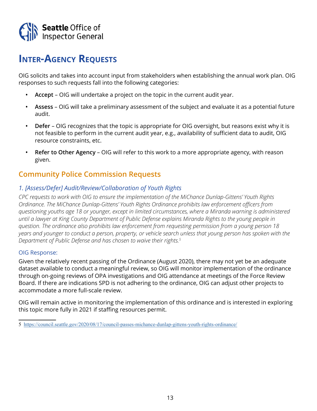<span id="page-12-0"></span>

# **Inter-Agency Requests**

OIG solicits and takes into account input from stakeholders when establishing the annual work plan. OIG responses to such requests fall into the following categories:

- **• Accept** OIG will undertake a project on the topic in the current audit year.
- **• Assess** OIG will take a preliminary assessment of the subject and evaluate it as a potential future audit.
- **• Defer** OIG recognizes that the topic is appropriate for OIG oversight, but reasons exist why it is not feasible to perform in the current audit year, e.g., availability of sufficient data to audit, OIG resource constraints, etc.
- **• Refer to Other Agency**  OIG will refer to this work to a more appropriate agency, with reason given.

# **Community Police Commission Requests**

# *1. [Assess/Defer] Audit/Review/Collaboration of Youth Rights*

*CPC requests to work with OIG to ensure the implementation of the MiChance Dunlap-Gittens' Youth Rights Ordinance. The MiChance Dunlap-Gittens' Youth Rights Ordinance prohibits law enforcement officers from questioning youths age 18 or younger, except in limited circumstances, where a Miranda warning is administered until a lawyer at King County Department of Public Defense explains Miranda Rights to the young people in question. The ordinance also prohibits law enforcement from requesting permission from a young person 18 years and younger to conduct a person, property, or vehicle search unless that young person has spoken with the Department of Public Defense and has chosen to waive their rights.5*

#### OIG Response:

Given the relatively recent passing of the Ordinance (August 2020), there may not yet be an adequate dataset available to conduct a meaningful review, so OIG will monitor implementation of the ordinance through on-going reviews of OPA investigations and OIG attendance at meetings of the Force Review Board. If there are indications SPD is not adhering to the ordinance, OIG can adjust other projects to accommodate a more full-scale review.

OIG will remain active in monitoring the implementation of this ordinance and is interested in exploring this topic more fully in 2021 if staffing resources permit.

<sup>5</sup> <https://council.seattle.gov/2020/08/17/council-passes-michance-dunlap-gittens-youth-rights-ordinance/>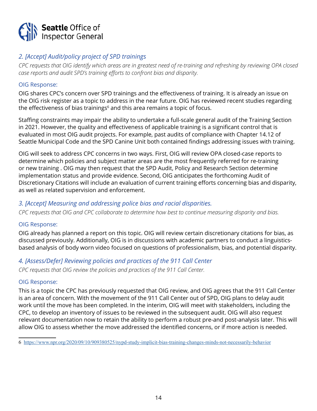

# *2. [Accept] Audit/policy project of SPD trainings*

*CPC requests that OIG identify which areas are in greatest need of re-training and refreshing by reviewing OPA closed case reports and audit SPD's training efforts to confront bias and disparity.* 

#### OIG Response:

OIG shares CPC's concern over SPD trainings and the effectiveness of training. It is already an issue on the OIG risk register as a topic to address in the near future. OIG has reviewed recent studies regarding the effectiveness of bias trainings<sup>6</sup> and this area remains a topic of focus.

Staffing constraints may impair the ability to undertake a full-scale general audit of the Training Section in 2021. However, the quality and effectiveness of applicable training is a significant control that is evaluated in most OIG audit projects. For example, past audits of compliance with Chapter 14.12 of Seattle Municipal Code and the SPD Canine Unit both contained findings addressing issues with training.

OIG will seek to address CPC concerns in two ways. First, OIG will review OPA closed-case reports to determine which policies and subject matter areas are the most frequently referred for re-training or new training . OIG may then request that the SPD Audit, Policy and Research Section determine implementation status and provide evidence. Second, OIG anticipates the forthcoming Audit of Discretionary Citations will include an evaluation of current training efforts concerning bias and disparity, as well as related supervision and enforcement.

# *3. [Accept] Measuring and addressing police bias and racial disparities.*

*CPC requests that OIG and CPC collaborate to determine how best to continue measuring disparity and bias.* 

#### OIG Response:

OIG already has planned a report on this topic. OIG will review certain discretionary citations for bias, as discussed previously. Additionally, OIG is in discussions with academic partners to conduct a linguisticsbased analysis of body worn video focused on questions of professionalism, bias, and potential disparity.

# *4. [Assess/Defer] Reviewing policies and practices of the 911 Call Center*

*CPC requests that OIG review the policies and practices of the 911 Call Center.*

#### OIG Response:

This is a topic the CPC has previously requested that OIG review, and OIG agrees that the 911 Call Center is an area of concern. With the movement of the 911 Call Center out of SPD, OIG plans to delay audit work until the move has been completed. In the interim, OIG will meet with stakeholders, including the CPC, to develop an inventory of issues to be reviewed in the subsequent audit. OIG will also request relevant documentation now to retain the ability to perform a robust pre-and post-analysis later. This will allow OIG to assess whether the move addressed the identified concerns, or if more action is needed.

<sup>6</sup> <https://www.npr.org/2020/09/10/909380525/nypd-study-implicit-bias-training-changes-minds-not-necessarily-behavior>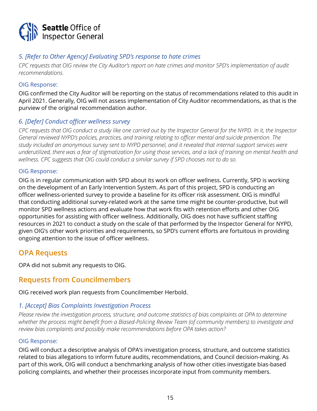

# *5. [Refer to Other Agency] Evaluating SPD's response to hate crimes*

*CPC requests that OIG review the City Auditor's report on hate crimes and monitor SPD's implementation of audit recommendations.* 

#### OIG Response:

OIG confirmed the City Auditor will be reporting on the status of recommendations related to this audit in April 2021. Generally, OIG will not assess implementation of City Auditor recommendations, as that is the purview of the original recommendation author.

# *6. [Defer] Conduct officer wellness survey*

*CPC requests that OIG conduct a study like one carried out by the Inspector General for the NYPD. In it, the Inspector General reviewed NYPD's policies, practices, and training relating to officer mental and suicide prevention. The study included an anonymous survey sent to NYPD personnel, and it revealed that internal support services were underutilized, there was a fear of stigmatization for using those services, and a lack of training on mental health and wellness. CPC suggests that OIG could conduct a similar survey if SPD chooses not to do so.*

#### OIG Response:

OIG is in regular communication with SPD about its work on officer wellness. Currently, SPD is working on the development of an Early Intervention System. As part of this project, SPD is conducting an officer wellness-oriented survey to provide a baseline for its officer risk assessment. OIG is mindful that conducting additional survey-related work at the same time might be counter-productive, but will monitor SPD wellness actions and evaluate how that work fits with retention efforts and other OIG opportunities for assisting with officer wellness. Additionally, OIG does not have sufficient staffing resources in 2021 to conduct a study on the scale of that performed by the Inspector General for NYPD, given OIG's other work priorities and requirements, so SPD's current efforts are fortuitous in providing ongoing attention to the issue of officer wellness.

# **OPA Requests**

OPA did not submit any requests to OIG.

# **Requests from Councilmembers**

OIG received work plan requests from Councilmember Herbold.

#### *1. [Accept] Bias Complaints Investigation Process*

*Please review the investigation process, structure, and outcome statistics of bias complaints at OPA to determine whether the process might benefit from a Biased-Policing Review Team (of community members) to investigate and review bias complaints and possibly make recommendations before OPA takes action?* 

#### OIG Response:

OIG will conduct a descriptive analysis of OPA's investigation process, structure, and outcome statistics related to bias allegations to inform future audits, recommendations, and Council decision-making. As part of this work, OIG will conduct a benchmarking analysis of how other cities investigate bias-based policing complaints, and whether their processes incorporate input from community members.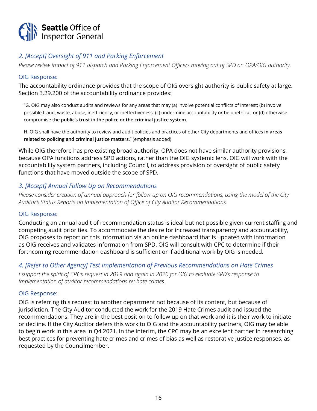

# *2. [Accept] Oversight of 911 and Parking Enforcement*

*Please review impact of 911 dispatch and Parking Enforcement Officers moving out of SPD on OPA/OIG authority.* 

#### OIG Response:

The accountability ordinance provides that the scope of OIG oversight authority is public safety at large. Section 3.29.200 of the accountability ordinance provides:

"G. OIG may also conduct audits and reviews for any areas that may (a) involve potential conflicts of interest; (b) involve possible fraud, waste, abuse, inefficiency, or ineffectiveness; (c) undermine accountability or be unethical; or (d) otherwise compromise **the public's trust in the police or the criminal justice system**.

H. OIG shall have the authority to review and audit policies and practices of other City departments and offices **in areas related to policing and criminal justice matters**." (emphasis added)

While OIG therefore has pre-existing broad authority, OPA does not have similar authority provisions, because OPA functions address SPD actions, rather than the OIG systemic lens. OIG will work with the accountability system partners, including Council, to address provision of oversight of public safety functions that have moved outside the scope of SPD.

# *3. [Accept] Annual Follow Up on Recommendations*

*Please consider creation of annual approach for follow-up on OIG recommendations, using the model of the City Auditor's Status Reports on Implementation of Office of City Auditor Recommendations.*

#### OIG Response:

Conducting an annual audit of recommendation status is ideal but not possible given current staffing and competing audit priorities. To accommodate the desire for increased transparency and accountability, OIG proposes to report on this information via an online dashboard that is updated with information as OIG receives and validates information from SPD. OIG will consult with CPC to determine if their forthcoming recommendation dashboard is sufficient or if additional work by OIG is needed.

# *4. [Refer to Other Agency] Test Implementation of Previous Recommendations on Hate Crimes*

*I support the spirit of CPC's request in 2019 and again in 2020 for OIG to evaluate SPD's response to implementation of auditor recommendations re: hate crimes.*

#### OIG Response:

OIG is referring this request to another department not because of its content, but because of jurisdiction. The City Auditor conducted the work for the 2019 Hate Crimes audit and issued the recommendations. They are in the best position to follow up on that work and it is their work to initiate or decline. If the City Auditor defers this work to OIG and the accountability partners, OIG may be able to begin work in this area in Q4 2021. In the interim, the CPC may be an excellent partner in researching best practices for preventing hate crimes and crimes of bias as well as restorative justice responses, as requested by the Councilmember.